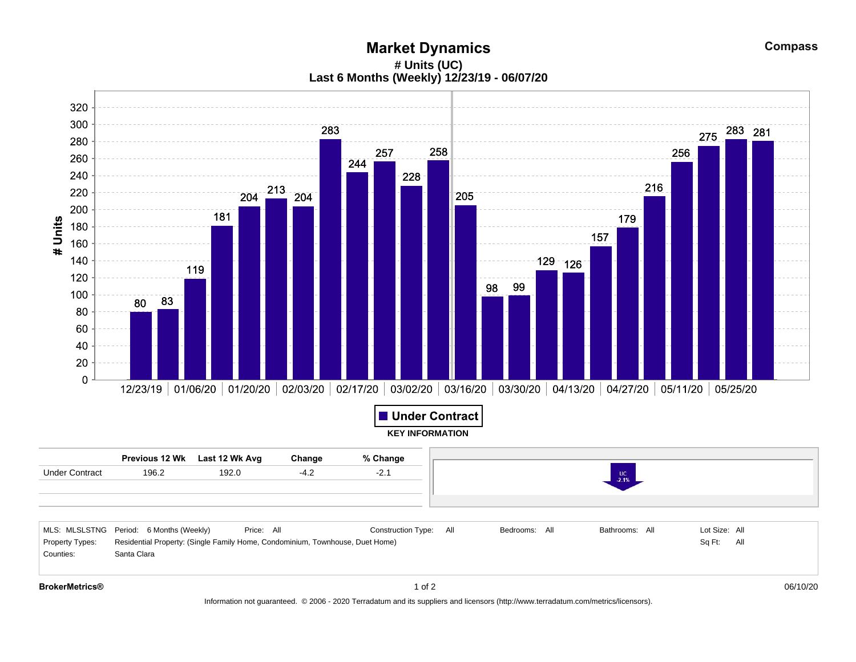**Market Dynamics # Units (UC) Last 6 Months (Weekly) 12/23/19 - 06/07/20**



Information not guaranteed. © 2006 - 2020 Terradatum and its suppliers and licensors (http://www.terradatum.com/metrics/licensors).